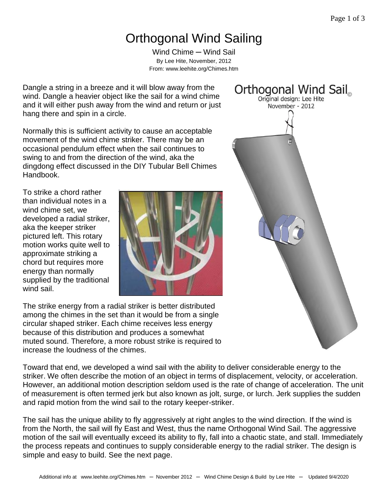## Orthogonal Wind Sailing

Wind Chime — Wind Sail By Lee Hite, November, 2012 From: www.leehite.org/Chimes.htm

Dangle a string in a breeze and it will blow away from the wind. Dangle a heavier object like the sail for a wind chime and it will either push away from the wind and return or just hang there and spin in a circle.

Normally this is sufficient activity to cause an acceptable movement of the wind chime striker. There may be an occasional pendulum effect when the sail continues to swing to and from the direction of the wind, aka the dingdong effect discussed in the DIY Tubular Bell Chimes Handbook.

To strike a chord rather than individual notes in a wind chime set, we developed a radial striker, aka the keeper striker pictured left. This rotary motion works quite well to approximate striking a chord but requires more energy than normally supplied by the traditional wind sail.



The strike energy from a radial striker is better distributed among the chimes in the set than it would be from a single circular shaped striker. Each chime receives less energy because of this distribution and produces a somewhat muted sound. Therefore, a more robust strike is required to increase the loudness of the chimes.

Toward that end, we developed a wind sail with the ability to deliver considerable energy to the striker. We often describe the motion of an object in terms of displacement, velocity, or acceleration. However, an additional motion description seldom used is the rate of change of acceleration. The unit of measurement is often termed jerk but also known as jolt, surge, or lurch. Jerk supplies the sudden and rapid motion from the wind sail to the rotary keeper-striker.

The sail has the unique ability to fly aggressively at right angles to the wind direction. If the wind is from the North, the sail will fly East and West, thus the name Orthogonal Wind Sail. The aggressive motion of the sail will eventually exceed its ability to fly, fall into a chaotic state, and stall. Immediately the process repeats and continues to supply considerable energy to the radial striker. The design is simple and easy to build. See the next page.

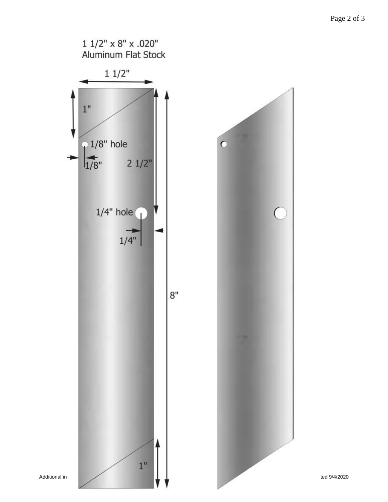